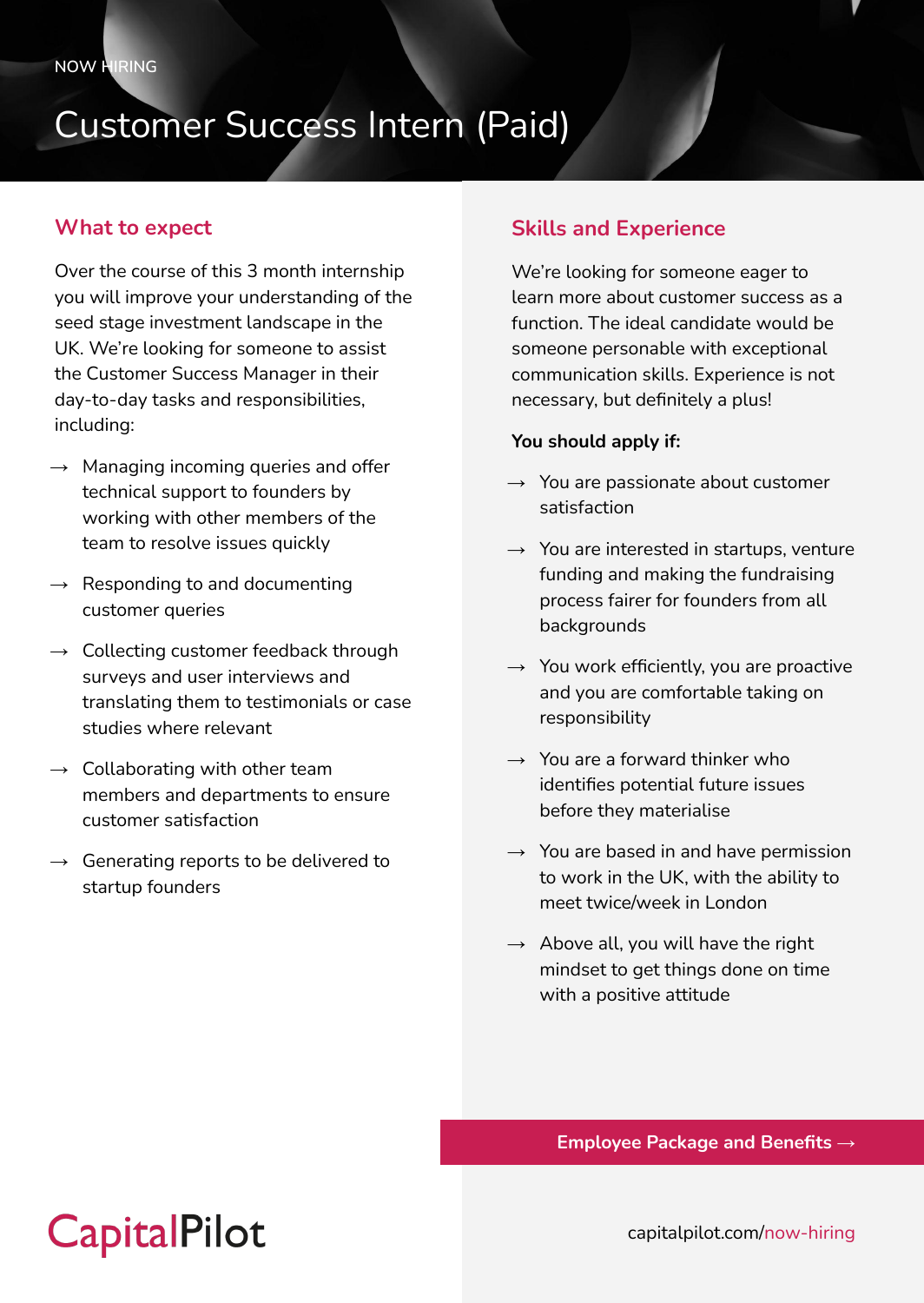## Customer Success Intern (Paid)

#### **What to expect**

Over the course of this 3 month internship you will improve your understanding of the seed stage investment landscape in the UK. We're looking for someone to assist the Customer Success Manager in their day-to-day tasks and responsibilities, including:

- $\rightarrow$  Managing incoming queries and offer technical support to founders by working with other members of the team to resolve issues quickly
- $\rightarrow$  Responding to and documenting customer queries
- $\rightarrow$  Collecting customer feedback through surveys and user interviews and translating them to testimonials or case studies where relevant
- $\rightarrow$  Collaborating with other team members and departments to ensure customer satisfaction
- $\rightarrow$  Generating reports to be delivered to startup founders

### **Skills and Experience**

We're looking for someone eager to learn more about customer success as a function. The ideal candidate would be someone personable with exceptional communication skills. Experience is not necessary, but definitely a plus!

#### **You should apply if:**

- $\rightarrow$  You are passionate about customer satisfaction
- $\rightarrow$  You are interested in startups, venture funding and making the fundraising process fairer for founders from all backgrounds
- $\rightarrow$  You work efficiently, you are proactive and you are comfortable taking on responsibility
- $\rightarrow$  You are a forward thinker who identifies potential future issues before they materialise
- $\rightarrow$  You are based in and have permission to work in the UK, with the ability to meet twice/week in London
- $\rightarrow$  Above all, you will have the right mindset to get things done on time with a positive attitude

**Employee Package and Benefits →**

## **CapitalPilot**

capitalpilot.com/now-hiring